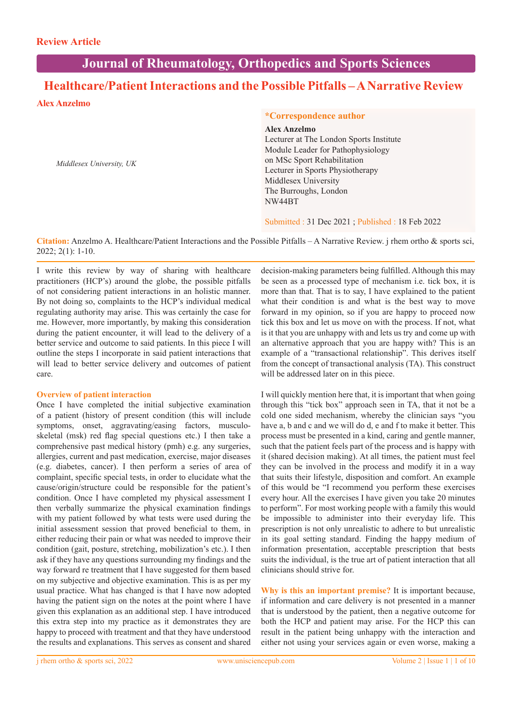# **Journal of Rheumatology, Orthopedics and Sports Sciences**

# **Healthcare/Patient Interactions and the Possible Pitfalls – A Narrative Review**

**Alex Anzelmo** 

*Middlesex University, UK*

#### **\*Correspondence author**

# **Alex Anzelmo**

Lecturer at The London Sports Institute Module Leader for Pathophysiology on MSc Sport Rehabilitation Lecturer in Sports Physiotherapy Middlesex University The Burroughs, London NW44BT

Submitted : 31 Dec 2021 ; Published : 18 Feb 2022

**Citation:** Anzelmo A. Healthcare/Patient Interactions and the Possible Pitfalls – A Narrative Review. j rhem ortho & sports sci, 2022; 2(1): 1-10.

I write this review by way of sharing with healthcare practitioners (HCP's) around the globe, the possible pitfalls of not considering patient interactions in an holistic manner. By not doing so, complaints to the HCP's individual medical regulating authority may arise. This was certainly the case for me. However, more importantly, by making this consideration during the patient encounter, it will lead to the delivery of a better service and outcome to said patients. In this piece I will outline the steps I incorporate in said patient interactions that will lead to better service delivery and outcomes of patient care.

#### **Overview of patient interaction**

Once I have completed the initial subjective examination of a patient (history of present condition (this will include symptoms, onset, aggravating/easing factors, musculoskeletal (msk) red flag special questions etc.) I then take a comprehensive past medical history (pmh) e.g. any surgeries, allergies, current and past medication, exercise, major diseases (e.g. diabetes, cancer). I then perform a series of area of complaint, specific special tests, in order to elucidate what the cause/origin/structure could be responsible for the patient's condition. Once I have completed my physical assessment I then verbally summarize the physical examination findings with my patient followed by what tests were used during the initial assessment session that proved beneficial to them, in either reducing their pain or what was needed to improve their condition (gait, posture, stretching, mobilization's etc.). I then ask if they have any questions surrounding my findings and the way forward re treatment that I have suggested for them based on my subjective and objective examination. This is as per my usual practice. What has changed is that I have now adopted having the patient sign on the notes at the point where I have given this explanation as an additional step. I have introduced this extra step into my practice as it demonstrates they are happy to proceed with treatment and that they have understood the results and explanations. This serves as consent and shared

decision-making parameters being fulfilled. Although this may be seen as a processed type of mechanism i.e. tick box, it is more than that. That is to say, I have explained to the patient what their condition is and what is the best way to move forward in my opinion, so if you are happy to proceed now tick this box and let us move on with the process. If not, what is it that you are unhappy with and lets us try and come up with an alternative approach that you are happy with? This is an example of a "transactional relationship". This derives itself from the concept of transactional analysis (TA). This construct will be addressed later on in this piece.

I will quickly mention here that, it is important that when going through this "tick box" approach seen in TA, that it not be a cold one sided mechanism, whereby the clinician says "you have a, b and c and we will do d, e and f to make it better. This process must be presented in a kind, caring and gentle manner, such that the patient feels part of the process and is happy with it (shared decision making). At all times, the patient must feel they can be involved in the process and modify it in a way that suits their lifestyle, disposition and comfort. An example of this would be "I recommend you perform these exercises every hour. All the exercises I have given you take 20 minutes to perform". For most working people with a family this would be impossible to administer into their everyday life. This prescription is not only unrealistic to adhere to but unrealistic in its goal setting standard. Finding the happy medium of information presentation, acceptable prescription that bests suits the individual, is the true art of patient interaction that all clinicians should strive for.

**Why is this an important premise?** It is important because, if information and care delivery is not presented in a manner that is understood by the patient, then a negative outcome for both the HCP and patient may arise. For the HCP this can result in the patient being unhappy with the interaction and either not using your services again or even worse, making a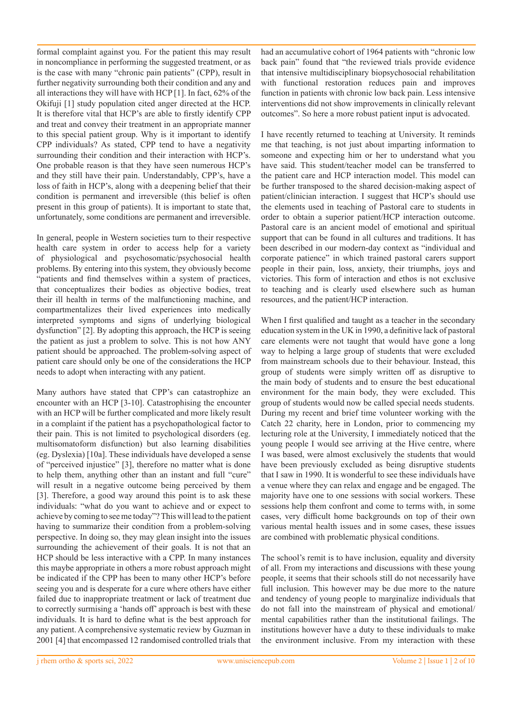formal complaint against you. For the patient this may result in noncompliance in performing the suggested treatment, or as is the case with many "chronic pain patients" (CPP), result in further negativity surrounding both their condition and any and all interactions they will have with HCP [1]. In fact, 62% of the Okifuji [1] study population cited anger directed at the HCP. It is therefore vital that HCP's are able to firstly identify CPP and treat and convey their treatment in an appropriate manner to this special patient group. Why is it important to identify CPP individuals? As stated, CPP tend to have a negativity surrounding their condition and their interaction with HCP's. One probable reason is that they have seen numerous HCP's and they still have their pain. Understandably, CPP's, have a loss of faith in HCP's, along with a deepening belief that their condition is permanent and irreversible (this belief is often present in this group of patients). It is important to state that, unfortunately, some conditions are permanent and irreversible.

In general, people in Western societies turn to their respective health care system in order to access help for a variety of physiological and psychosomatic/psychosocial health problems. By entering into this system, they obviously become "patients and find themselves within a system of practices, that conceptualizes their bodies as objective bodies, treat their ill health in terms of the malfunctioning machine, and compartmentalizes their lived experiences into medically interpreted symptoms and signs of underlying biological dysfunction" [2]. By adopting this approach, the HCP is seeing the patient as just a problem to solve. This is not how ANY patient should be approached. The problem-solving aspect of patient care should only be one of the considerations the HCP needs to adopt when interacting with any patient.

Many authors have stated that CPP's can catastrophize an encounter with an HCP [3-10]. Catastrophising the encounter with an HCP will be further complicated and more likely result in a complaint if the patient has a psychopathological factor to their pain. This is not limited to psychological disorders (eg. multisomatoform disfunction) but also learning disabilities (eg. Dyslexia) [10a]. These individuals have developed a sense of "perceived injustice" [3], therefore no matter what is done to help them, anything other than an instant and full "cure" will result in a negative outcome being perceived by them [3]. Therefore, a good way around this point is to ask these individuals: "what do you want to achieve and or expect to achieve by coming to see me today"? This will lead to the patient having to summarize their condition from a problem-solving perspective. In doing so, they may glean insight into the issues surrounding the achievement of their goals. It is not that an HCP should be less interactive with a CPP. In many instances this maybe appropriate in others a more robust approach might be indicated if the CPP has been to many other HCP's before seeing you and is desperate for a cure where others have either failed due to inappropriate treatment or lack of treatment due to correctly surmising a 'hands off' approach is best with these individuals. It is hard to define what is the best approach for any patient. A comprehensive systematic review by Guzman in 2001 [4] that encompassed 12 randomised controlled trials that had an accumulative cohort of 1964 patients with "chronic low back pain" found that "the reviewed trials provide evidence that intensive multidisciplinary biopsychosocial rehabilitation with functional restoration reduces pain and improves function in patients with chronic low back pain. Less intensive interventions did not show improvements in clinically relevant outcomes". So here a more robust patient input is advocated.

I have recently returned to teaching at University. It reminds me that teaching, is not just about imparting information to someone and expecting him or her to understand what you have said. This student/teacher model can be transferred to the patient care and HCP interaction model. This model can be further transposed to the shared decision-making aspect of patient/clinician interaction. I suggest that HCP's should use the elements used in teaching of Pastoral care to students in order to obtain a superior patient/HCP interaction outcome. Pastoral care is an ancient model of emotional and spiritual support that can be found in all cultures and traditions. It has been described in our modern-day context as "individual and corporate patience" in which trained pastoral carers support people in their pain, loss, anxiety, their triumphs, joys and victories. This form of interaction and ethos is not exclusive to teaching and is clearly used elsewhere such as human resources, and the patient/HCP interaction.

When I first qualified and taught as a teacher in the secondary education system in the UK in 1990, a definitive lack of pastoral care elements were not taught that would have gone a long way to helping a large group of students that were excluded from mainstream schools due to their behaviour. Instead, this group of students were simply written off as disruptive to the main body of students and to ensure the best educational environment for the main body, they were excluded. This group of students would now be called special needs students. During my recent and brief time volunteer working with the Catch 22 charity, here in London, prior to commencing my lecturing role at the University, I immediately noticed that the young people I would see arriving at the Hive centre, where I was based, were almost exclusively the students that would have been previously excluded as being disruptive students that I saw in 1990. It is wonderful to see these individuals have a venue where they can relax and engage and be engaged. The majority have one to one sessions with social workers. These sessions help them confront and come to terms with, in some cases, very difficult home backgrounds on top of their own various mental health issues and in some cases, these issues are combined with problematic physical conditions.

The school's remit is to have inclusion, equality and diversity of all. From my interactions and discussions with these young people, it seems that their schools still do not necessarily have full inclusion. This however may be due more to the nature and tendency of young people to marginalize individuals that do not fall into the mainstream of physical and emotional/ mental capabilities rather than the institutional failings. The institutions however have a duty to these individuals to make the environment inclusive. From my interaction with these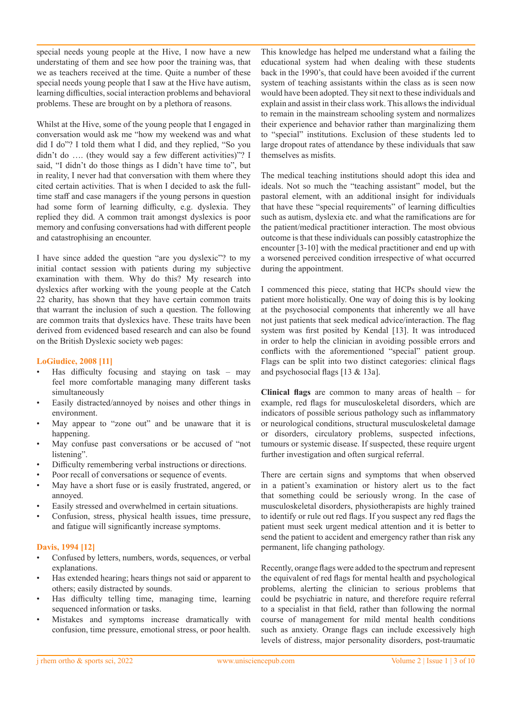special needs young people at the Hive, I now have a new understating of them and see how poor the training was, that we as teachers received at the time. Quite a number of these special needs young people that I saw at the Hive have autism, learning difficulties, social interaction problems and behavioral problems. These are brought on by a plethora of reasons.

Whilst at the Hive, some of the young people that I engaged in conversation would ask me "how my weekend was and what did I do"? I told them what I did, and they replied, "So you didn't do …. (they would say a few different activities)"? I said, "I didn't do those things as I didn't have time to", but in reality, I never had that conversation with them where they cited certain activities. That is when I decided to ask the fulltime staff and case managers if the young persons in question had some form of learning difficulty, e.g. dyslexia. They replied they did. A common trait amongst dyslexics is poor memory and confusing conversations had with different people and catastrophising an encounter.

I have since added the question "are you dyslexic"? to my initial contact session with patients during my subjective examination with them. Why do this? My research into dyslexics after working with the young people at the Catch 22 charity, has shown that they have certain common traits that warrant the inclusion of such a question. The following are common traits that dyslexics have. These traits have been derived from evidenced based research and can also be found on the British Dyslexic society web pages:

# **LoGiudice, 2008 [11]**

- Has difficulty focusing and staying on task may feel more comfortable managing many different tasks simultaneously
- Easily distracted/annoyed by noises and other things in environment.
- May appear to "zone out" and be unaware that it is happening.
- May confuse past conversations or be accused of "not listening".
- Difficulty remembering verbal instructions or directions.
- Poor recall of conversations or sequence of events.
- May have a short fuse or is easily frustrated, angered, or annoyed.
- Easily stressed and overwhelmed in certain situations.
- Confusion, stress, physical health issues, time pressure, and fatigue will significantly increase symptoms.

# **Davis, 1994 [12]**

- Confused by letters, numbers, words, sequences, or verbal explanations.
- Has extended hearing; hears things not said or apparent to others; easily distracted by sounds.
- Has difficulty telling time, managing time, learning sequenced information or tasks.
- Mistakes and symptoms increase dramatically with confusion, time pressure, emotional stress, or poor health.

This knowledge has helped me understand what a failing the educational system had when dealing with these students back in the 1990's, that could have been avoided if the current system of teaching assistants within the class as is seen now would have been adopted. They sit next to these individuals and explain and assist in their class work. This allows the individual to remain in the mainstream schooling system and normalizes their experience and behavior rather than marginalizing them to "special" institutions. Exclusion of these students led to large dropout rates of attendance by these individuals that saw themselves as misfits.

The medical teaching institutions should adopt this idea and ideals. Not so much the "teaching assistant" model, but the pastoral element, with an additional insight for individuals that have these "special requirements" of learning difficulties such as autism, dyslexia etc. and what the ramifications are for the patient/medical practitioner interaction. The most obvious outcome is that these individuals can possibly catastrophize the encounter [3-10] with the medical practitioner and end up with a worsened perceived condition irrespective of what occurred during the appointment.

I commenced this piece, stating that HCPs should view the patient more holistically. One way of doing this is by looking at the psychosocial components that inherently we all have not just patients that seek medical advice/interaction. The flag system was first posited by Kendal [13]. It was introduced in order to help the clinician in avoiding possible errors and conflicts with the aforementioned "special" patient group. Flags can be split into two distinct categories: clinical flags and psychosocial flags [13 & 13a].

**Clinical flags** are common to many areas of health – for example, red flags for musculoskeletal disorders, which are indicators of possible serious pathology such as inflammatory or neurological conditions, structural musculoskeletal damage or disorders, circulatory problems, suspected infections, tumours or systemic disease. If suspected, these require urgent further investigation and often surgical referral.

There are certain signs and symptoms that when observed in a patient's examination or history alert us to the fact that something could be seriously wrong. In the case of musculoskeletal disorders, physiotherapists are highly trained to identify or rule out red flags. If you suspect any red flags the patient must seek urgent medical attention and it is better to send the patient to accident and emergency rather than risk any permanent, life changing pathology.

Recently, orange flags were added to the spectrum and represent the equivalent of red flags for mental health and psychological problems, alerting the clinician to serious problems that could be psychiatric in nature, and therefore require referral to a specialist in that field, rather than following the normal course of management for mild mental health conditions such as anxiety. Orange flags can include excessively high levels of distress, major personality disorders, post-traumatic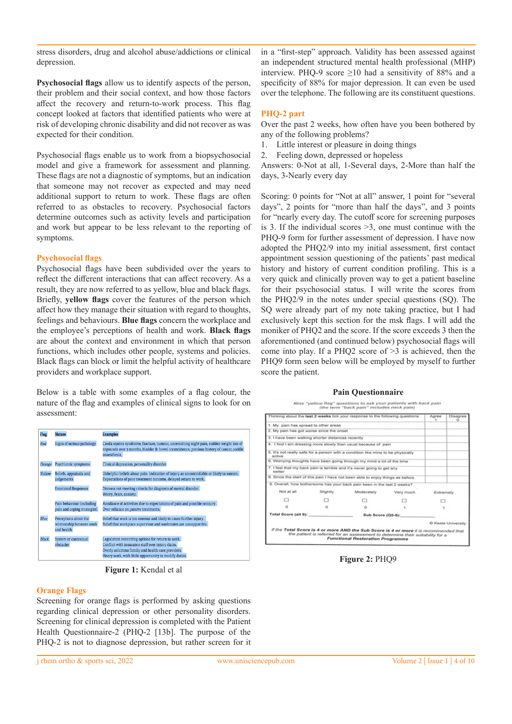stress disorders, drug and alcohol abuse/addictions or clinical depression.

**Psychosocial flags** allow us to identify aspects of the person, their problem and their social context, and how those factors affect the recovery and return-to-work process. This flag concept looked at factors that identified patients who were at risk of developing chronic disability and did not recover as was expected for their condition.

Psychosocial flags enable us to work from a biopsychosocial model and give a framework for assessment and planning. These flags are not a diagnostic of symptoms, but an indication that someone may not recover as expected and may need additional support to return to work. These flags are often referred to as obstacles to recovery. Psychosocial factors determine outcomes such as activity levels and participation and work but appear to be less relevant to the reporting of symptoms.

### **Psychosocial flags**

Psychosocial flags have been subdivided over the years to reflect the different interactions that can affect recovery. As a result, they are now referred to as yellow, blue and black flags. Briefly, **yellow flags** cover the features of the person which affect how they manage their situation with regard to thoughts, feelings and behaviours. **Blue flags** concern the workplace and the employee's perceptions of health and work. **Black flags**  are about the context and environment in which that person functions, which includes other people, systems and policies. Black flags can block or limit the helpful activity of healthcare providers and workplace support.

Below is a table with some examples of a flag colour, the nature of the flag and examples of clinical signs to look for on assessment:

| Flag          | <b>Nature</b>                                                    | <b>Examples</b>                                                                                                                                                                                                         |
|---------------|------------------------------------------------------------------|-------------------------------------------------------------------------------------------------------------------------------------------------------------------------------------------------------------------------|
| Red           | Signs of serious pathology                                       | Cauda equina syndrome, fracture, tumour, unremitting night pain, sudden weight loss of<br>10 pounds over 3 months, bladder & bowel incontinence, previous history of cancer, saddle<br>anaesthesia.                     |
| <b>Orange</b> | Psychiatric symptoms                                             | Clinical depression, personality disorder                                                                                                                                                                               |
| Yellow        | Beliefs, appraisals and<br>judgements                            | Unhelpful beliefs about pain: indication of injury as uncontrollable or likely to worsen.<br>Expectations of poor treatment outcome, delayed return to work.                                                            |
|               | <b>Emotional Responses</b>                                       | Distress not meeting criteria for diagnosis of mental disorder.<br>Worry, fears, anxiety.                                                                                                                               |
|               | Pain behaviour (including<br>pain and coping strategies)         | Avoidance of activities due to expectations of pain and possible reinjury.<br>Over-reliance on passive treatments.                                                                                                      |
| Blue          | Perceptions about the<br>relationship between work<br>and health | Belief that work is too onerous and likely to cause further injury.<br>Belief that workplace supervisor and workmates are unsupportive.                                                                                 |
| <b>Black</b>  | System or contextual<br>obstacles                                | Legislation restricting options for return to work.<br>Conflict with insurance staff over injury claim.<br>Overly solicitous family and health care providers.<br>Heavy work, with little opportunity to modify duties. |

**Figure 1:** Kendal et al

# **Orange Flags**

Screening for orange flags is performed by asking questions regarding clinical depression or other personality disorders. Screening for clinical depression is completed with the Patient Health Questionnaire-2 (PHQ-2 [13b]. The purpose of the PHQ-2 is not to diagnose depression, but rather screen for it

in a "first-step" approach. Validity has been assessed against an independent structured mental health professional (MHP) interview. PHQ-9 score  $\geq 10$  had a sensitivity of 88% and a specificity of 88% for major depression. It can even be used over the telephone. The following are its constituent questions.

# **PHQ-2 part**

Over the past 2 weeks, how often have you been bothered by any of the following problems?

- 1. Little interest or pleasure in doing things
- 2. Feeling down, depressed or hopeless

Answers: 0-Not at all, 1-Several days, 2-More than half the days, 3-Nearly every day

Scoring: 0 points for "Not at all" answer, 1 point for "several days", 2 points for "more than half the days", and 3 points for "nearly every day. The cutoff score for screening purposes is 3. If the individual scores  $\geq$ 3, one must continue with the PHQ-9 form for further assessment of depression. I have now adopted the PHQ2/9 into my initial assessment, first contact appointment session questioning of the patients' past medical history and history of current condition profiling. This is a very quick and clinically proven way to get a patient baseline for their psychosocial status. I will write the scores from the PHQ2/9 in the notes under special questions (SQ). The SQ were already part of my note taking practice, but I had exclusively kept this section for the msk flags. I will add the moniker of PHQ2 and the score. If the score exceeds 3 then the aforementioned (and continued below) psychosocial flags will come into play. If a PHQ2 score of >3 is achieved, then the PHQ9 form seen below will be employed by myself to further score the patient.

# **Pain Questionnaire**



**Figure 2:** PHQ9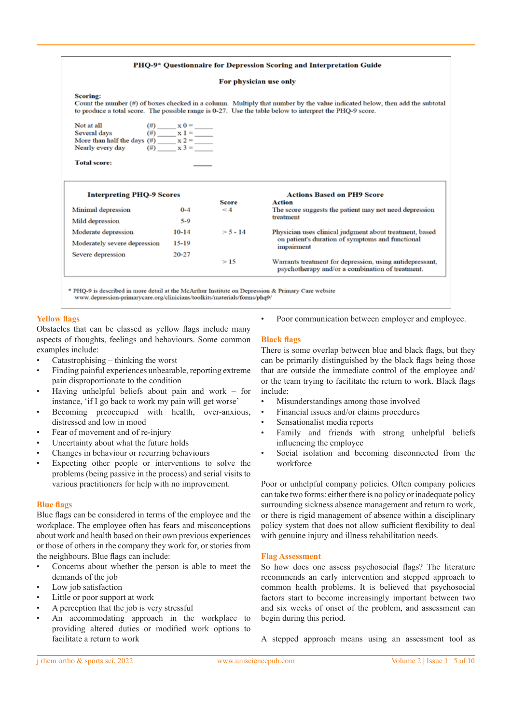#### PHQ-9\* Questionnaire for Depression Scoring and Interpretation Guide

#### For physician use only

#### Scoring:

Count the number (#) of boxes checked in a column. Multiply that number by the value indicated below, then add the subtotal to produce a total score. The possible range is 0-27. Use the table below to interpret the PHO-9 score.

| Not at all                    | $(\#)$ | $\mathbf{x} \mathbf{0}$ |
|-------------------------------|--------|-------------------------|
| Several days                  | (# )   | $x_1 =$                 |
| More than half the days $(H)$ |        | $x 2 =$                 |
| Nearly every day              | (# )   | $x 3 =$                 |

#### **Total score:**

| <b>Interpreting PHQ-9 Scores</b> |           | <b>Actions Based on PH9 Score</b> |                                                                                                              |  |
|----------------------------------|-----------|-----------------------------------|--------------------------------------------------------------------------------------------------------------|--|
|                                  |           | Score                             | Action                                                                                                       |  |
| <b>Minimal depression</b>        | $0 - 4$   | $\leq 4$                          | The score suggests the patient may not need depression                                                       |  |
| Mild depression                  | $5-9$     |                                   | treatment                                                                                                    |  |
| Moderate depression              | $10-14$   | $> 5 - 14$                        | Physician uses clinical judgment about treatment, based                                                      |  |
| Moderately severe depression     | $15 - 19$ |                                   | on patient's duration of symptoms and functional<br>impairment                                               |  |
| Severe depression                | 20-27     |                                   |                                                                                                              |  |
|                                  |           | >15                               | Warrants treatment for depression, using antidepressant,<br>psychotherapy and/or a combination of treatment. |  |

\* PHO-9 is described in more detail at the McArthur Institute on Depression & Primary Care website www.depression-primarycare.org/clinicians/toolkits/materials/forms/phq9/

# **Yellow flags**

Obstacles that can be classed as yellow flags include many aspects of thoughts, feelings and behaviours. Some common examples include:

- Catastrophising thinking the worst
- Finding painful experiences unbearable, reporting extreme pain disproportionate to the condition
- Having unhelpful beliefs about pain and work  $-$  for instance, 'if I go back to work my pain will get worse'
- Becoming preoccupied with health, over-anxious, distressed and low in mood
- Fear of movement and of re-injury
- Uncertainty about what the future holds
- Changes in behaviour or recurring behaviours
- Expecting other people or interventions to solve the problems (being passive in the process) and serial visits to various practitioners for help with no improvement.

#### **Blue flags**

Blue flags can be considered in terms of the employee and the workplace. The employee often has fears and misconceptions about work and health based on their own previous experiences or those of others in the company they work for, or stories from the neighbours. Blue flags can include:

- Concerns about whether the person is able to meet the demands of the job
- Low job satisfaction
- Little or poor support at work
- A perception that the job is very stressful
- An accommodating approach in the workplace to providing altered duties or modified work options to facilitate a return to work

Poor communication between employer and employee.

#### **Black flags**

There is some overlap between blue and black flags, but they can be primarily distinguished by the black flags being those that are outside the immediate control of the employee and/ or the team trying to facilitate the return to work. Black flags include:

- Misunderstandings among those involved
- Financial issues and/or claims procedures
- Sensationalist media reports
- Family and friends with strong unhelpful beliefs influencing the employee
- Social isolation and becoming disconnected from the workforce

Poor or unhelpful company policies. Often company policies can take two forms: either there is no policy or inadequate policy surrounding sickness absence management and return to work, or there is rigid management of absence within a disciplinary policy system that does not allow sufficient flexibility to deal with genuine injury and illness rehabilitation needs.

#### **Flag Assessment**

So how does one assess psychosocial flags? The literature recommends an early intervention and stepped approach to common health problems. It is believed that psychosocial factors start to become increasingly important between two and six weeks of onset of the problem, and assessment can begin during this period.

A stepped approach means using an assessment tool as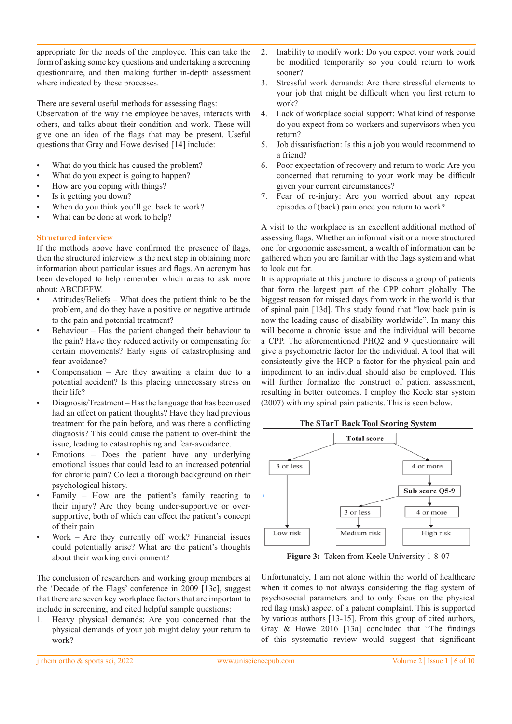appropriate for the needs of the employee. This can take the form of asking some key questions and undertaking a screening questionnaire, and then making further in-depth assessment where indicated by these processes.

There are several useful methods for assessing flags:

Observation of the way the employee behaves, interacts with others, and talks about their condition and work. These will give one an idea of the flags that may be present. Useful questions that Gray and Howe devised [14] include:

- What do you think has caused the problem?
- What do you expect is going to happen?
- How are you coping with things?
- Is it getting you down?
- When do you think you'll get back to work?
- What can be done at work to help?

# **Structured interview**

If the methods above have confirmed the presence of flags, then the structured interview is the next step in obtaining more information about particular issues and flags. An acronym has been developed to help remember which areas to ask more about: ABCDEFW.

- Attitudes/Beliefs What does the patient think to be the problem, and do they have a positive or negative attitude to the pain and potential treatment?
- Behaviour Has the patient changed their behaviour to the pain? Have they reduced activity or compensating for certain movements? Early signs of catastrophising and fear-avoidance?
- Compensation Are they awaiting a claim due to a potential accident? Is this placing unnecessary stress on their life?
- Diagnosis/Treatment Has the language that has been used had an effect on patient thoughts? Have they had previous treatment for the pain before, and was there a conflicting diagnosis? This could cause the patient to over-think the issue, leading to catastrophising and fear-avoidance.
- Emotions Does the patient have any underlying emotional issues that could lead to an increased potential for chronic pain? Collect a thorough background on their psychological history.
- Family How are the patient's family reacting to their injury? Are they being under-supportive or oversupportive, both of which can effect the patient's concept of their pain
- Work Are they currently off work? Financial issues could potentially arise? What are the patient's thoughts about their working environment?

The conclusion of researchers and working group members at the 'Decade of the Flags' conference in 2009 [13c], suggest that there are seven key workplace factors that are important to include in screening, and cited helpful sample questions:

1. Heavy physical demands: Are you concerned that the physical demands of your job might delay your return to work?

- 2. Inability to modify work: Do you expect your work could be modified temporarily so you could return to work sooner?
- 3. Stressful work demands: Are there stressful elements to your job that might be difficult when you first return to work?
- 4. Lack of workplace social support: What kind of response do you expect from co-workers and supervisors when you return?
- 5. Job dissatisfaction: Is this a job you would recommend to a friend?
- 6. Poor expectation of recovery and return to work: Are you concerned that returning to your work may be difficult given your current circumstances?
- 7. Fear of re-injury: Are you worried about any repeat episodes of (back) pain once you return to work?

A visit to the workplace is an excellent additional method of assessing flags. Whether an informal visit or a more structured one for ergonomic assessment, a wealth of information can be gathered when you are familiar with the flags system and what to look out for.

It is appropriate at this juncture to discuss a group of patients that form the largest part of the CPP cohort globally. The biggest reason for missed days from work in the world is that of spinal pain [13d]. This study found that "low back pain is now the leading cause of disability worldwide". In many this will become a chronic issue and the individual will become a CPP. The aforementioned PHQ2 and 9 questionnaire will give a psychometric factor for the individual. A tool that will consistently give the HCP a factor for the physical pain and impediment to an individual should also be employed. This will further formalize the construct of patient assessment, resulting in better outcomes. I employ the Keele star system (2007) with my spinal pain patients. This is seen below.



**Figure 3:** Taken from Keele University 1-8-07

Unfortunately, I am not alone within the world of healthcare when it comes to not always considering the flag system of psychosocial parameters and to only focus on the physical red flag (msk) aspect of a patient complaint. This is supported by various authors [13-15]. From this group of cited authors, Gray & Howe 2016 [13a] concluded that "The findings of this systematic review would suggest that significant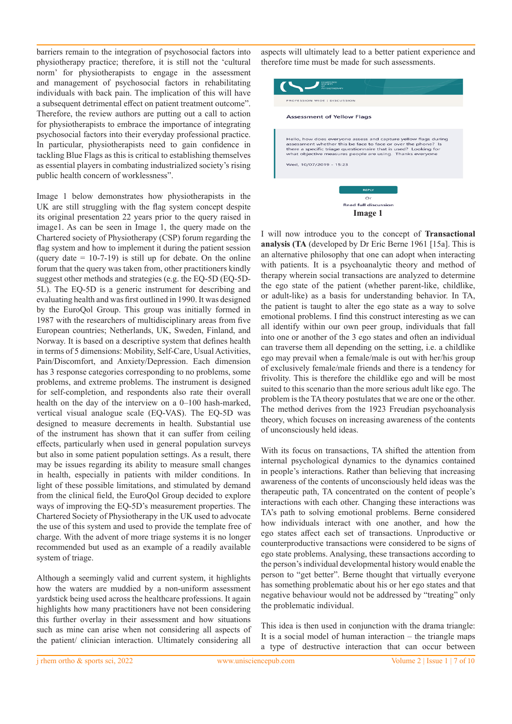barriers remain to the integration of psychosocial factors into physiotherapy practice; therefore, it is still not the 'cultural norm' for physiotherapists to engage in the assessment and management of psychosocial factors in rehabilitating individuals with back pain. The implication of this will have a subsequent detrimental effect on patient treatment outcome". Therefore, the review authors are putting out a call to action for physiotherapists to embrace the importance of integrating psychosocial factors into their everyday professional practice. In particular, physiotherapists need to gain confidence in tackling Blue Flags as this is critical to establishing themselves as essential players in combating industrialized society's rising public health concern of worklessness".

Image 1 below demonstrates how physiotherapists in the UK are still struggling with the flag system concept despite its original presentation 22 years prior to the query raised in image1. As can be seen in Image 1, the query made on the Chartered society of Physiotherapy (CSP) forum regarding the flag system and how to implement it during the patient session (query date  $= 10-7-19$ ) is still up for debate. On the online forum that the query was taken from, other practitioners kindly suggest other methods and strategies (e.g. the EQ-5D (EQ-5D-5L). The EQ-5D is a generic instrument for describing and evaluating health and was first outlined in 1990. It was designed by the EuroQol Group. This group was initially formed in 1987 with the researchers of multidisciplinary areas from five European countries; Netherlands, UK, Sweden, Finland, and Norway. It is based on a descriptive system that defines health in terms of 5 dimensions: Mobility, Self-Care, Usual Activities, Pain/Discomfort, and Anxiety/Depression. Each dimension has 3 response categories corresponding to no problems, some problems, and extreme problems. The instrument is designed for self-completion, and respondents also rate their overall health on the day of the interview on a 0–100 hash-marked, vertical visual analogue scale (EQ-VAS). The EQ-5D was designed to measure decrements in health. Substantial use of the instrument has shown that it can suffer from ceiling effects, particularly when used in general population surveys but also in some patient population settings. As a result, there may be issues regarding its ability to measure small changes in health, especially in patients with milder conditions. In light of these possible limitations, and stimulated by demand from the clinical field, the EuroQol Group decided to explore ways of improving the EQ-5D's measurement properties. The Chartered Society of Physiotherapy in the UK used to advocate the use of this system and used to provide the template free of charge. With the advent of more triage systems it is no longer recommended but used as an example of a readily available system of triage.

Although a seemingly valid and current system, it highlights how the waters are muddied by a non-uniform assessment yardstick being used across the healthcare professions. It again highlights how many practitioners have not been considering this further overlay in their assessment and how situations such as mine can arise when not considering all aspects of the patient/ clinician interaction. Ultimately considering all

aspects will ultimately lead to a better patient experience and therefore time must be made for such assessments.



I will now introduce you to the concept of **Transactional analysis (TA** (developed by Dr Eric Berne 1961 [15a]. This is an alternative philosophy that one can adopt when interacting with patients. It is a psychoanalytic theory and method of therapy wherein social transactions are analyzed to determine the ego state of the patient (whether parent-like, childlike, or adult-like) as a basis for understanding behavior. In TA, the patient is taught to alter the ego state as a way to solve emotional problems. I find this construct interesting as we can all identify within our own peer group, individuals that fall into one or another of the 3 ego states and often an individual can traverse them all depending on the setting, i.e. a childlike ego may prevail when a female/male is out with her/his group of exclusively female/male friends and there is a tendency for frivolity. This is therefore the childlike ego and will be most suited to this scenario than the more serious adult like ego. The problem is the TA theory postulates that we are one or the other. The method derives from the 1923 Freudian psychoanalysis theory, which focuses on increasing awareness of the contents of unconsciously held ideas.

With its focus on transactions, TA shifted the attention from internal psychological dynamics to the dynamics contained in people's interactions. Rather than believing that increasing awareness of the contents of unconsciously held ideas was the therapeutic path, TA concentrated on the content of people's interactions with each other. Changing these interactions was TA's path to solving emotional problems. Berne considered how individuals interact with one another, and how the ego states affect each set of transactions. Unproductive or counterproductive transactions were considered to be signs of ego state problems. Analysing, these transactions according to the person's individual developmental history would enable the person to "get better". Berne thought that virtually everyone has something problematic about his or her ego states and that negative behaviour would not be addressed by "treating" only the problematic individual.

This idea is then used in conjunction with the drama triangle: It is a social model of human interaction – the triangle maps a type of destructive interaction that can occur between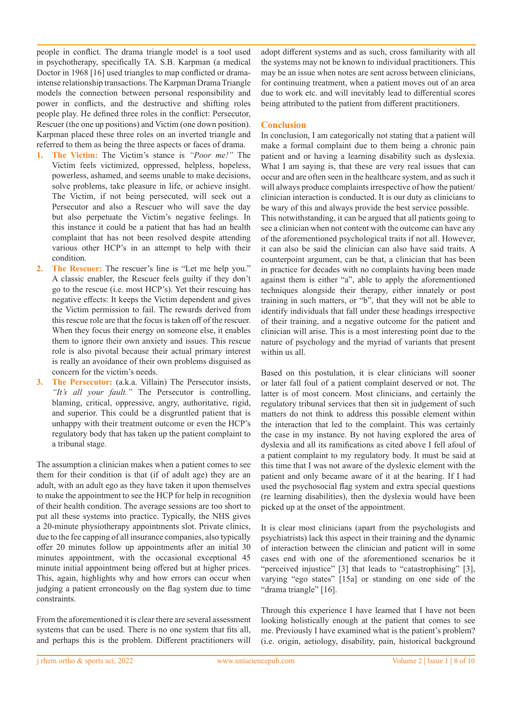people in conflict. The drama triangle model is a tool used in psychotherapy, specifically TA. S.B. Karpman (a medical Doctor in 1968 [16] used triangles to map conflicted or dramaintense relationship transactions. The Karpman Drama Triangle models the connection between personal responsibility and power in conflicts, and the destructive and shifting roles people play. He defined three roles in the conflict: Persecutor, Rescuer (the one up positions) and Victim (one down position). Karpman placed these three roles on an inverted triangle and referred to them as being the three aspects or faces of drama.

- **1. The Victim:** The Victim's stance is *"Poor me!"* The Victim feels victimized, oppressed, helpless, hopeless, powerless, ashamed, and seems unable to make decisions, solve problems, take pleasure in life, or achieve insight. The Victim, if not being persecuted, will seek out a Persecutor and also a Rescuer who will save the day but also perpetuate the Victim's negative feelings. In this instance it could be a patient that has had an health complaint that has not been resolved despite attending various other HCP's in an attempt to help with their condition.
- **2. The Rescuer:** The rescuer's line is "Let me help you." A classic enabler, the Rescuer feels guilty if they don't go to the rescue (i.e. most HCP's). Yet their rescuing has negative effects: It keeps the Victim dependent and gives the Victim permission to fail. The rewards derived from this rescue role are that the focus is taken off of the rescuer. When they focus their energy on someone else, it enables them to ignore their own anxiety and issues. This rescue role is also pivotal because their actual primary interest is really an avoidance of their own problems disguised as concern for the victim's needs.
- **3. The Persecutor:** (a.k.a. Villain) The Persecutor insists, *"It's all your fault."* The Persecutor is controlling, blaming, critical, oppressive, angry, authoritative, rigid, and superior. This could be a disgruntled patient that is unhappy with their treatment outcome or even the HCP's regulatory body that has taken up the patient complaint to a tribunal stage.

The assumption a clinician makes when a patient comes to see them for their condition is that (if of adult age) they are an adult, with an adult ego as they have taken it upon themselves to make the appointment to see the HCP for help in recognition of their health condition. The average sessions are too short to put all these systems into practice. Typically, the NHS gives a 20-minute physiotherapy appointments slot. Private clinics, due to the fee capping of all insurance companies, also typically offer 20 minutes follow up appointments after an initial 30 minutes appointment, with the occasional exceptional 45 minute initial appointment being offered but at higher prices. This, again, highlights why and how errors can occur when judging a patient erroneously on the flag system due to time constraints.

From the aforementioned it is clear there are several assessment systems that can be used. There is no one system that fits all, and perhaps this is the problem. Different practitioners will

adopt different systems and as such, cross familiarity with all the systems may not be known to individual practitioners. This may be an issue when notes are sent across between clinicians, for continuing treatment, when a patient moves out of an area due to work etc. and will inevitably lead to differential scores being attributed to the patient from different practitioners.

# **Conclusion**

In conclusion, I am categorically not stating that a patient will make a formal complaint due to them being a chronic pain patient and or having a learning disability such as dyslexia. What I am saying is, that these are very real issues that can occur and are often seen in the healthcare system, and as such it will always produce complaints irrespective of how the patient/ clinician interaction is conducted. It is our duty as clinicians to be wary of this and always provide the best service possible. This notwithstanding, it can be argued that all patients going to see a clinician when not content with the outcome can have any of the aforementioned psychological traits if not all. However, it can also be said the clinician can also have said traits. A counterpoint argument, can be that, a clinician that has been in practice for decades with no complaints having been made against them is either "a", able to apply the aforementioned techniques alongside their therapy, either innately or post training in such matters, or "b", that they will not be able to identify individuals that fall under these headings irrespective of their training, and a negative outcome for the patient and clinician will arise. This is a most interesting point due to the nature of psychology and the myriad of variants that present within us all.

Based on this postulation, it is clear clinicians will sooner or later fall foul of a patient complaint deserved or not. The latter is of most concern. Most clinicians, and certainly the regulatory tribunal services that then sit in judgement of such matters do not think to address this possible element within the interaction that led to the complaint. This was certainly the case in my instance. By not having explored the area of dyslexia and all its ramifications as cited above I fell afoul of a patient complaint to my regulatory body. It must be said at this time that I was not aware of the dyslexic element with the patient and only became aware of it at the hearing. If I had used the psychosocial flag system and extra special questions (re learning disabilities), then the dyslexia would have been picked up at the onset of the appointment.

It is clear most clinicians (apart from the psychologists and psychiatrists) lack this aspect in their training and the dynamic of interaction between the clinician and patient will in some cases end with one of the aforementioned scenarios be it "perceived injustice" [3] that leads to "catastrophising" [3], varying "ego states" [15a] or standing on one side of the "drama triangle" [16].

Through this experience I have learned that I have not been looking holistically enough at the patient that comes to see me. Previously I have examined what is the patient's problem? (i.e. origin, aetiology, disability, pain, historical background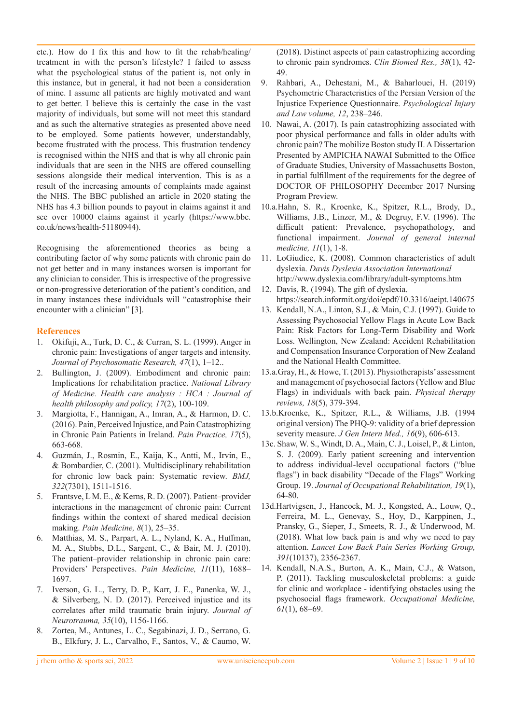etc.). How do I fix this and how to fit the rehab/healing/ treatment in with the person's lifestyle? I failed to assess what the psychological status of the patient is, not only in this instance, but in general, it had not been a consideration of mine. I assume all patients are highly motivated and want to get better. I believe this is certainly the case in the vast majority of individuals, but some will not meet this standard and as such the alternative strategies as presented above need to be employed. Some patients however, understandably, become frustrated with the process. This frustration tendency is recognised within the NHS and that is why all chronic pain individuals that are seen in the NHS are offered counselling sessions alongside their medical intervention. This is as a result of the increasing amounts of complaints made against the NHS. The BBC published an article in 2020 stating the NHS has 4.3 billion pounds to payout in claims against it and see over 10000 claims against it yearly (https://www.bbc. co.uk/news/health-51180944).

Recognising the aforementioned theories as being a contributing factor of why some patients with chronic pain do not get better and in many instances worsen is important for any clinician to consider. This is irrespective of the progressive or non-progressive deterioration of the patient's condition, and in many instances these individuals will "catastrophise their encounter with a clinician" [3].

# **References**

- 1. Okifuji, A., Turk, D. C., & Curran, S. L. (1999). Anger in chronic pain: Investigations of anger targets and intensity. *Journal of Psychosomatic Research, 47*(1), 1–12..
- 2. Bullington, J. (2009). Embodiment and chronic pain: Implications for rehabilitation practice. *National Library of Medicine. Health care analysis : HCA : Journal of health philosophy and policy, 17*(2), 100-109.
- 3. Margiotta, F., Hannigan, A., Imran, A., & Harmon, D. C. (2016). Pain, Perceived Injustice, and Pain Catastrophizing in Chronic Pain Patients in Ireland. *Pain Practice, 17*(5), 663-668.
- 4. Guzmán, J., Rosmin, E., Kaija, K., Antti, M., Irvin, E., & Bombardier, C. (2001). Multidisciplinary rehabilitation for chronic low back pain: Systematic review. *BMJ, 322*(7301), 1511-1516.
- 5. Frantsve, L M. E., & Kerns, R. D. (2007). Patient–provider interactions in the management of chronic pain: Current findings within the context of shared medical decision making. *Pain Medicine, 8*(1), 25–35.
- 6. Matthias, M. S., Parpart, A. L., Nyland, K. A., Huffman, M. A., Stubbs, D.L., Sargent, C., & Bair, M. J. (2010). The patient–provider relationship in chronic pain care: Providers' Perspectives. *Pain Medicine, 11*(11), 1688– 1697.
- 7. Iverson, G. L., Terry, D. P., Karr, J. E., Panenka, W. J., & Silverberg, N. D. (2017). Perceived injustice and its correlates after mild traumatic brain injury. *Journal of Neurotrauma, 35*(10), 1156-1166.
- 8. Zortea, M., Antunes, L. C., Segabinazi, J. D., Serrano, G. B., Elkfury, J. L., Carvalho, F., Santos, V., & Caumo, W.

(2018). Distinct aspects of pain catastrophizing according to chronic pain syndromes. *Clin Biomed Res., 38*(1), 42- 49.

- 9. Rahbari, A., Dehestani, M., & Baharlouei, H. (2019) Psychometric Characteristics of the Persian Version of the Injustice Experience Questionnaire. *Psychological Injury and Law volume, 12*, 238–246.
- 10. Nawai, A. (2017). Is pain catastrophizing associated with poor physical performance and falls in older adults with chronic pain? The mobilize Boston study II. A Dissertation Presented by AMPICHA NAWAI Submitted to the Office of Graduate Studies, University of Massachusetts Boston, in partial fulfillment of the requirements for the degree of DOCTOR OF PHILOSOPHY December 2017 Nursing Program Preview.
- 10.a.Hahn, S. R., Kroenke, K., Spitzer, R.L., Brody, D., Williams, J.B., Linzer, M., & Degruy, F.V. (1996). The difficult patient: Prevalence, psychopathology, and functional impairment. *Journal of general internal medicine, 11*(1), 1-8.
- 11. LoGiudice, K. (2008). Common characteristics of adult dyslexia. *Davis Dyslexia Association International*  http://www.dyslexia.com/library/adult-symptoms.htm
- 12. Davis, R. (1994). The gift of dyslexia. https://search.informit.org/doi/epdf/10.3316/aeipt.140675
- 13. Kendall, N.A., Linton, S.J., & Main, C.J. (1997). Guide to Assessing Psychosocial Yellow Flags in Acute Low Back Pain: Risk Factors for Long-Term Disability and Work Loss. Wellington, New Zealand: Accident Rehabilitation and Compensation Insurance Corporation of New Zealand and the National Health Committee.
- 13.a.Gray, H., & Howe, T. (2013). Physiotherapists' assessment and management of psychosocial factors (Yellow and Blue Flags) in individuals with back pain. *Physical therapy reviews, 18*(5), 379-394.
- 13.b.Kroenke, K., Spitzer, R.L., & Williams, J.B. (1994 original version) The PHQ-9: validity of a brief depression severity measure. *J Gen Intern Med.*, 16(9), 606-613.
- 13c. Shaw, W. S., Windt, D. A., Main, C. J., Loisel, P., & Linton, S. J. (2009). Early patient screening and intervention to address individual-level occupational factors ("blue flags") in back disability "Decade of the Flags" Working Group. 19. *Journal of Occupational Rehabilitation, 19*(1), 64-80.
- 13d.Hartvigsen, J., Hancock, M. J., Kongsted, A., Louw, Q., Ferreira, M. L., Genevay, S., Hoy, D., Karppinen, J., Pransky, G., Sieper, J., Smeets, R. J., & Underwood, M. (2018). What low back pain is and why we need to pay attention. *Lancet Low Back Pain Series Working Group, 391*(10137), 2356-2367.
- 14. Kendall, N.A.S., Burton, A. K., Main, C.J., & Watson, P. (2011). Tackling musculoskeletal problems: a guide for clinic and workplace - identifying obstacles using the psychosocial flags framework. *Occupational Medicine, 61*(1), 68–69.